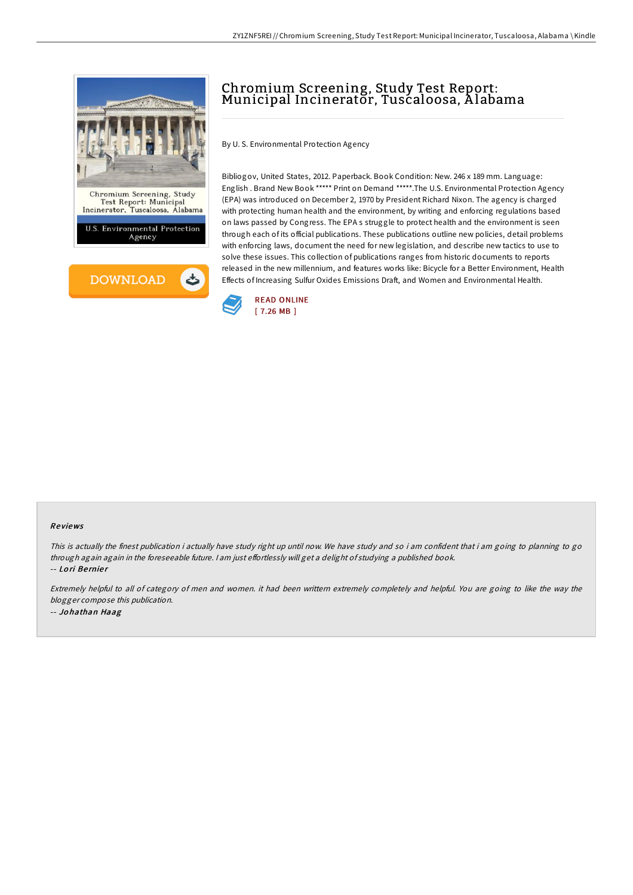



# Chromium Screening, Study Test Report: Municipal Incinerator, Tuscaloosa, A labama

By U. S. Environmental Protection Agency

Bibliogov, United States, 2012. Paperback. Book Condition: New. 246 x 189 mm. Language: English . Brand New Book \*\*\*\*\* Print on Demand \*\*\*\*\*.The U.S. Environmental Protection Agency (EPA) was introduced on December 2, 1970 by President Richard Nixon. The agency is charged with protecting human health and the environment, by writing and enforcing regulations based on laws passed by Congress. The EPA s struggle to protect health and the environment is seen through each of its official publications. These publications outline new policies, detail problems with enforcing laws, document the need for new legislation, and describe new tactics to use to solve these issues. This collection of publications ranges from historic documents to reports released in the new millennium, and features works like: Bicycle for a Better Environment, Health Effects of Increasing Sulfur Oxides Emissions Draft, and Women and Environmental Health.



#### Re views

This is actually the finest publication i actually have study right up until now. We have study and so i am confident that i am going to planning to go through again again in the foreseeable future. I am just effortlessly will get a delight of studying a published book. -- Lo ri Be rnie r

Extremely helpful to all of category of men and women. it had been writtern extremely completely and helpful. You are going to like the way the blogger compose this publication. -- Jo hathan Haag